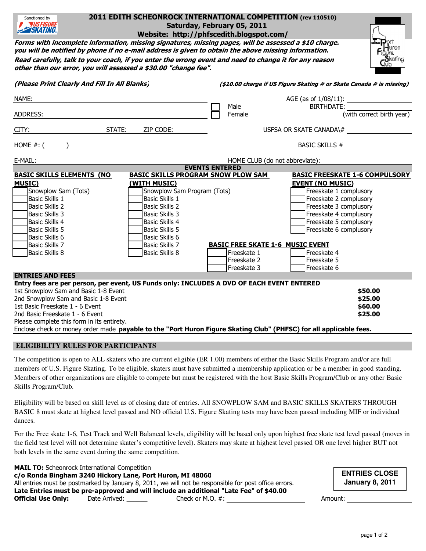| 2011 EDITH SCHEONROCK INTERNATIONAL COMPETITION (rev 110510)<br>Sanctioned by<br><b>WSFIGURE</b><br>Saturday, February 05, 2011<br><b>EXATING</b><br>Website: http://phfscedith.blogspot.com/                                                                                                                                                                                                                                                                                                                                                                                                   |                                                                                                                                                                                                                                                                                                                                                                   |  |
|-------------------------------------------------------------------------------------------------------------------------------------------------------------------------------------------------------------------------------------------------------------------------------------------------------------------------------------------------------------------------------------------------------------------------------------------------------------------------------------------------------------------------------------------------------------------------------------------------|-------------------------------------------------------------------------------------------------------------------------------------------------------------------------------------------------------------------------------------------------------------------------------------------------------------------------------------------------------------------|--|
| Forms with incomplete information, missing signatures, missing pages, will be assessed a \$10 charge.<br>Turon<br>you will be notified by phone if no e-mail address is given to obtain the above missing information.<br>qure<br>$S$ kating<br>Read carefully, talk to your coach, if you enter the wrong event and need to change it for any reason<br>Llub<br>other than our error, you will assessed a \$30.00 "change fee".                                                                                                                                                                |                                                                                                                                                                                                                                                                                                                                                                   |  |
| (Please Print Clearly And Fill In All Blanks)                                                                                                                                                                                                                                                                                                                                                                                                                                                                                                                                                   | (\$10.00 charge if US Figure Skating # or Skate Canada # is missing)                                                                                                                                                                                                                                                                                              |  |
| NAME:<br>ADDRESS:                                                                                                                                                                                                                                                                                                                                                                                                                                                                                                                                                                               | AGE (as of 1/08/11):<br><b>BIRTHDATE:</b><br>Male<br>(with correct birth year)<br>Female                                                                                                                                                                                                                                                                          |  |
| CITY:<br>STATE:<br>ZIP CODE:                                                                                                                                                                                                                                                                                                                                                                                                                                                                                                                                                                    | USFSA OR SKATE CANADA $\#$                                                                                                                                                                                                                                                                                                                                        |  |
| HOME $#$ : (                                                                                                                                                                                                                                                                                                                                                                                                                                                                                                                                                                                    | <b>BASIC SKILLS #</b>                                                                                                                                                                                                                                                                                                                                             |  |
| E-MAIL:                                                                                                                                                                                                                                                                                                                                                                                                                                                                                                                                                                                         | HOME CLUB (do not abbreviate):                                                                                                                                                                                                                                                                                                                                    |  |
| <b>EVENTS ENTERED</b><br><b>BASIC SKILLS ELEMENTS (NO</b><br><b>BASIC SKILLS PROGRAM SNOW PLOW SAM</b><br><b>MUSIC)</b><br>(WITH MUSIC)<br>Snowplow Sam (Tots)<br>Snowplow Sam Program (Tots)<br><b>Basic Skills 1</b><br><b>Basic Skills 1</b><br><b>Basic Skills 2</b><br><b>Basic Skills 2</b><br><b>Basic Skills 3</b><br><b>Basic Skills 3</b><br><b>Basic Skills 4</b><br><b>Basic Skills 4</b><br><b>Basic Skills 5</b><br><b>Basic Skills 5</b><br>Basic Skills 6<br>Basic Skills 6<br><b>Basic Skills 7</b><br><b>Basic Skills 7</b><br><b>Basic Skills 8</b><br><b>Basic Skills 8</b> | <b>BASIC FREESKATE 1-6 COMPULSORY</b><br><b>EVENT (NO MUSIC)</b><br>Freeskate 1 complusory<br>Freeskate 2 complusory<br>Freeskate 3 complusory<br>Freeskate 4 complusory<br>Freeskate 5 complusory<br>Freeskate 6 complusory<br><b>BASIC FREE SKATE 1-6 MUSIC EVENT</b><br>Freeskate 1<br>Freeskate 4<br>Freeskate 2<br>Freeskate 5<br>Freeskate 3<br>Freeskate 6 |  |
| <b>ENTRIES AND FEES</b><br>Entry fees are per person, per event, US Funds only: INCLUDES A DVD OF EACH EVENT ENTERED<br>1st Snowplow Sam and Basic 1-8 Event<br>2nd Snowplow Sam and Basic 1-8 Event<br>1st Basic Freeskate 1 - 6 Event<br>2nd Basic Freeskate 1 - 6 Event<br>Please complete this form in its entirety.<br>Enclose check or money order made payable to the "Port Huron Figure Skating Club" (PHFSC) for all applicable fees.                                                                                                                                                  | \$50.00<br>\$25.00<br>\$60.00<br>\$25.00                                                                                                                                                                                                                                                                                                                          |  |

## **ELIGIBILITY RULES FOR PARTICIPANTS**

The competition is open to ALL skaters who are current eligible (ER 1.00) members of either the Basic Skills Program and/or are full members of U.S. Figure Skating. To be eligible, skaters must have submitted a membership application or be a member in good standing. Members of other organizations are eligible to compete but must be registered with the host Basic Skills Program/Club or any other Basic Skills Program/Club.

Eligibility will be based on skill level as of closing date of entries. All SNOWPLOW SAM and BASIC SKILLS SKATERS THROUGH BASIC 8 must skate at highest level passed and NO official U.S. Figure Skating tests may have been passed including MIF or individual dances.

For the Free skate 1-6, Test Track and Well Balanced levels, eligibility will be based only upon highest free skate test level passed (moves in the field test level will not determine skater's competitive level). Skaters may skate at highest level passed OR one level higher BUT not both levels in the same event during the same competition.

MAIL TO: Scheonrock International Competition c/o Ronda Bingham 3240 Hickory Lane, Port Huron, MI 48060 All entries must be postmarked by January 8, 2011, we will not be responsible for post office errors. Late Entries must be pre-approved and will include an additional "Late Fee" of \$40.00 Official Use Only: Date Arrived: \_\_\_\_\_\_ Check or M.O. #: Amount:

**ENTRIES CLOSE January 8, 2011**